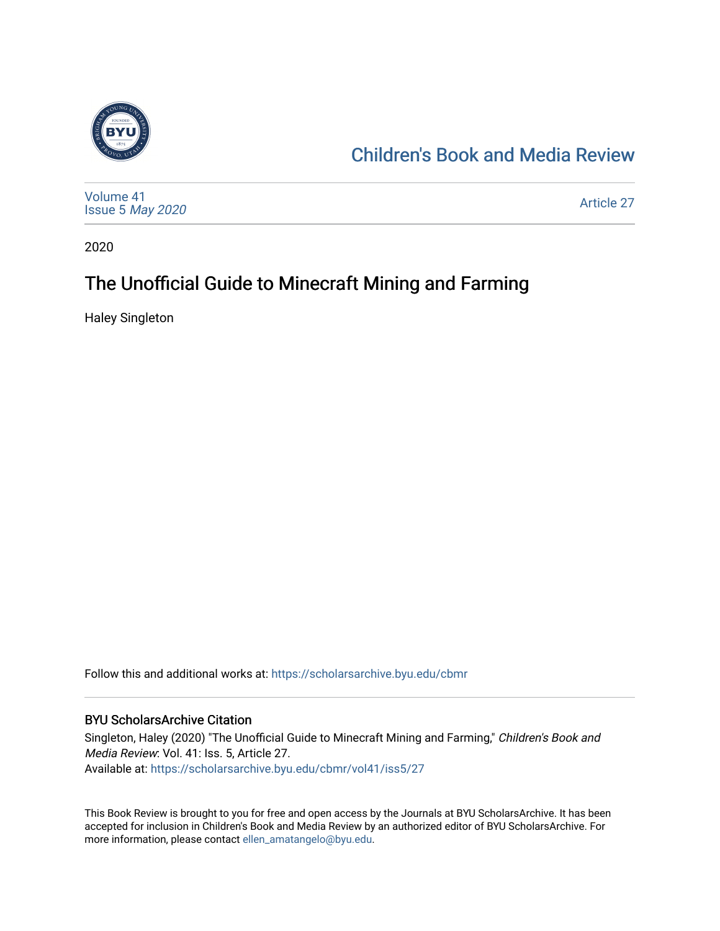

## [Children's Book and Media Review](https://scholarsarchive.byu.edu/cbmr)

[Volume 41](https://scholarsarchive.byu.edu/cbmr/vol41) Issue 5 [May 2020](https://scholarsarchive.byu.edu/cbmr/vol41/iss5)  [Article 27](https://scholarsarchive.byu.edu/cbmr/vol41/iss5/27) 

2020

## The Unofficial Guide to Minecraft Mining and Farming

Haley Singleton

Follow this and additional works at: [https://scholarsarchive.byu.edu/cbmr](https://scholarsarchive.byu.edu/cbmr?utm_source=scholarsarchive.byu.edu%2Fcbmr%2Fvol41%2Fiss5%2F27&utm_medium=PDF&utm_campaign=PDFCoverPages) 

#### BYU ScholarsArchive Citation

Singleton, Haley (2020) "The Unofficial Guide to Minecraft Mining and Farming," Children's Book and Media Review: Vol. 41: Iss. 5, Article 27. Available at: [https://scholarsarchive.byu.edu/cbmr/vol41/iss5/27](https://scholarsarchive.byu.edu/cbmr/vol41/iss5/27?utm_source=scholarsarchive.byu.edu%2Fcbmr%2Fvol41%2Fiss5%2F27&utm_medium=PDF&utm_campaign=PDFCoverPages)

This Book Review is brought to you for free and open access by the Journals at BYU ScholarsArchive. It has been accepted for inclusion in Children's Book and Media Review by an authorized editor of BYU ScholarsArchive. For more information, please contact [ellen\\_amatangelo@byu.edu.](mailto:ellen_amatangelo@byu.edu)